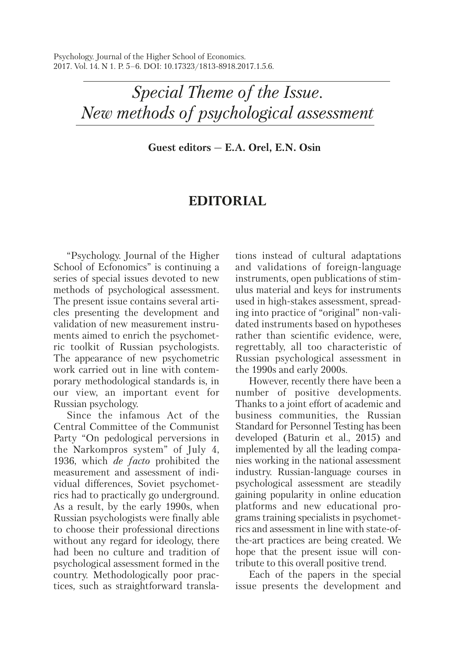Psychology. Journal of the Higher School of Economics. 2017. Vol. 14. N 1. P. 5–6. DOI: 10.17323/1813-8918.2017.1.5.6.

> *Special Theme of the Issue. New methods of psychological assessment*

> > **Guest editors — E.A. Orel, E.N. Osin**

## **EDITORIAL**

"Psychology. Journal of the Higher School of Ecfonomics" is continuing a series of special issues devoted to new methods of psychological assessment. The present issue contains several articles presenting the development and validation of new measurement instruments aimed to enrich the psychometric toolkit of Russian psychologists. The appearance of new psychometric work carried out in line with contemporary methodological standards is, in our view, an important event for Russian psychology.

Since the infamous Act of the Central Committee of the Communist Party "On pedological perversions in the Narkompros system" of July 4, 1936, which *de facto* prohibited the measurement and assessment of individual differences, Soviet psychometrics had to practically go underground. As a result, by the early 1990s, when Russian psychologists were finally able to choose their professional directions without any regard for ideology, there had been no culture and tradition of psychological assessment formed in the country. Methodologically poor practices, such as straightforward translations instead of cultural adaptations and validations of foreign-language instruments, open publications of stimulus material and keys for instruments used in high-stakes assessment, spreading into practice of "original" non-validated instruments based on hypotheses rather than scientific evidence, were, regrettably, all too characteristic of Russian psychological assessment in the 1990s and early 2000s.

However, recently there have been a number of positive developments. Thanks to a joint effort of academic and business communities, the Russian Standard for Personnel Testing has been developed (Baturin et al., 2015) and implemented by all the leading companies working in the national assessment industry. Russian-language courses in psychological assessment are steadily gaining popularity in online education platforms and new educational programs training specialists in psychometrics and assessment in line with state-ofthe-art practices are being created. We hope that the present issue will contribute to this overall positive trend.

Each of the papers in the special issue presents the development and